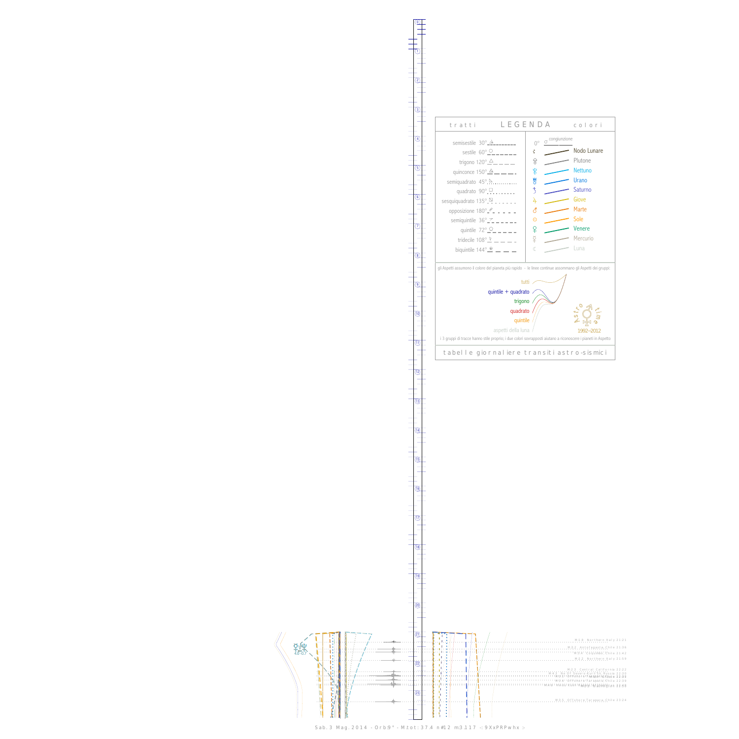